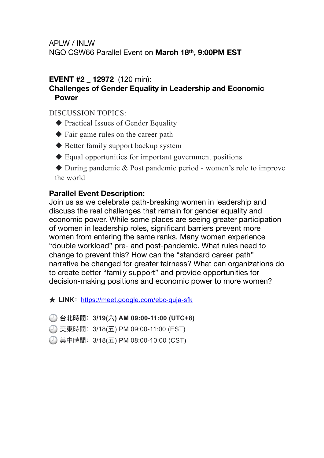NGO CSW66 Parallel Event on **March 18th, 9:00PM EST**

# **EVENT #2 \_ 12972** (120 min):

### **Challenges of Gender Equality in Leadership and Economic Power**

DISCUSSION TOPICS:

- ◆ Practical Issues of Gender Equality
- ◆ Fair game rules on the career path
- ◆ Better family support backup system
- ◆ Equal opportunities for important government positions

◆ During pandemic & Post pandemic period - women's role to improve the world

# **Parallel Event Description:**

Join us as we celebrate path-breaking women in leadership and discuss the real challenges that remain for gender equality and economic power. While some places are seeing greater participation of women in leadership roles, significant barriers prevent more women from entering the same ranks. Many women experience "double workload" pre- and post-pandemic. What rules need to change to prevent this? How can the "standard career path" narrative be changed for greater fairness? What can organizations do to create better "family support" and provide opportunities for decision-making positions and economic power to more women?

**★ LINK**: <https://meet.google.com/ebc-quja-sfk>

- **台北時間:3/19(六) AM 09:00-11:00 (UTC+8)**
- 美東時間:3/18(五) PM 09:00-11:00 (EST)
- 美中時間:3/18(五) PM 08:00-10:00 (CST)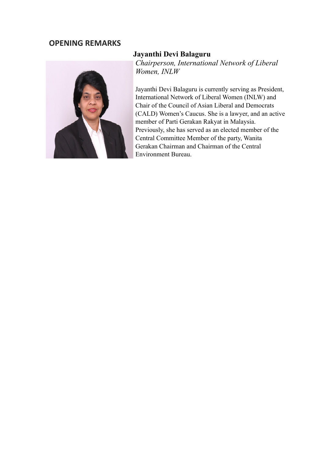# **OPENING REMARKS**



### **Jayanthi Devi Balaguru**

*Chairperson, International Network of Liberal Women, INLW*

Jayanthi Devi Balaguru is currently serving as President, International Network of Liberal Women (INLW) and Chair of the Council of Asian Liberal and Democrats (CALD) Women's Caucus. She is a lawyer, and an active member of Parti Gerakan Rakyat in Malaysia. Previously, she has served as an elected member of the Central Committee Member of the party, Wanita Gerakan Chairman and Chairman of the Central Environment Bureau.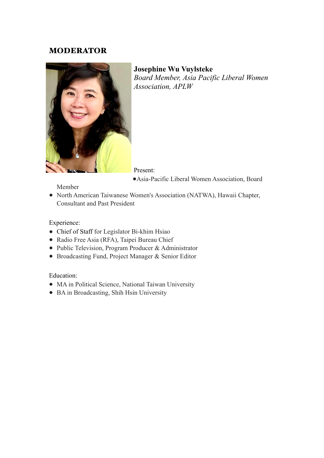### MODERATOR



**Josephine Wu Vuylsteke**  *Board Member, Asia Pacific Liberal Women Association, APLW*

Present:

●Asia-Pacific Liberal Women Association, Board

Member

● North American Taiwanese Women's Association (NATWA), Hawaii Chapter, Consultant and Past President

Experience:

- Chief of Staff for Legislator Bi-khim Hsiao
- Radio Free Asia (RFA), Taipei Bureau Chief
- Public Television, Program Producer & Administrator
- Broadcasting Fund, Project Manager & Senior Editor

Education:

- MA in Political Science, National Taiwan University
- BA in Broadcasting, Shih Hsin University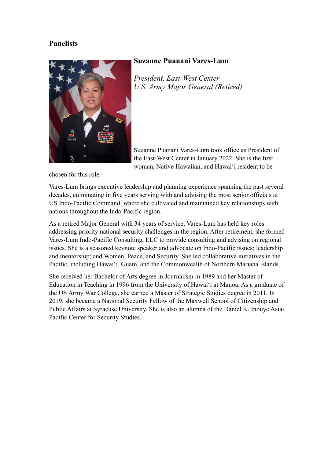#### **Panelists**



#### **Suzanne Puanani Vares-Lum**

*President, East-West Center U.S. Army Major General (Retired)*

Suzanne Puanani Vares-Lum took office as President of the East-West Center in January 2022. She is the first woman, Native Hawaiian, and Hawaiʻi resident to be

chosen for this role.

Vares-Lum brings executive leadership and planning experience spanning the past several decades, culminating in five years serving with and advising the most senior officials at US Indo-Pacific Command, where she cultivated and maintained key relationships with nations throughout the Indo-Pacific region.

As a retired Major General with 34 years of service, Vares-Lum has held key roles addressing priority national security challenges in the region. After retirement, she formed Vares-Lum Indo-Pacific Consulting, LLC to provide consulting and advising on regional issues. She is a seasoned keynote speaker and advocate on Indo-Pacific issues; leadership and mentorship; and Women, Peace, and Security. She led collaborative initiatives in the Pacific, including Hawaiʻi, Guam, and the Commonwealth of Northern Mariana Islands.

She received her Bachelor of Arts degree in Journalism in 1989 and her Master of Education in Teaching in 1996 from the University of Hawaiʻi at Manoa. As a graduate of the US Army War College, she earned a Master of Strategic Studies degree in 2011. In 2019, she became a National Security Fellow of the Maxwell School of Citizenship and Public Affairs at Syracuse University. She is also an alumna of the Daniel K. Inouye Asia-Pacific Center for Security Studies.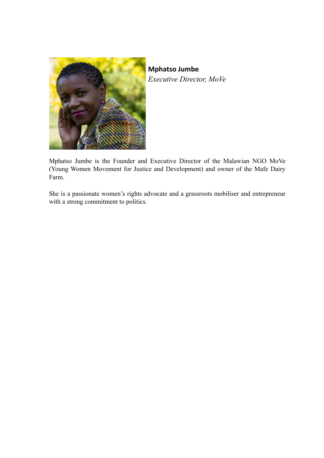

**Mphatso Jumbe** *Executive Director, MoVe*

Mphatso Jumbe is the Founder and Executive Director of the Malawian NGO MoVe (Young Women Movement for Justice and Development) and owner of the Mafe Dairy Farm.

She is a passionate women's rights advocate and a grassroots mobiliser and entrepreneur with a strong commitment to politics.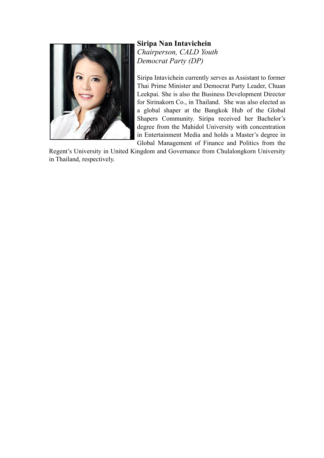

**Siripa Nan Intavichein** *Chairperson, CALD Youth Democrat Party (DP)*

Siripa Intavichein currently serves as Assistant to former Thai Prime Minister and Democrat Party Leader, Chuan Leekpai. She is also the Business Development Director for Sirinakorn Co., in Thailand. She was also elected as a global shaper at the Bangkok Hub of the Global Shapers Community. Siripa received her Bachelor's degree from the Mahidol University with concentration in Entertainment Media and holds a Master's degree in Global Management of Finance and Politics from the

Regent's University in United Kingdom and Governance from Chulalongkorn University in Thailand, respectively.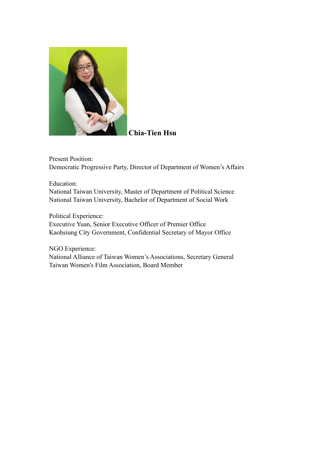

### **Chia-Tien Hsu**

Present Position: Democratic Progressive Party, Director of Department of Women's Affairs

Education: National Taiwan University, Master of Department of Political Science National Taiwan University, Bachelor of Department of Social Work

Political Experience:

Executive Yuan, Senior Executive Officer of Premier Office Kaohsiung City Government, Confidential Secretary of Mayor Office

NGO Experience:

National Alliance of Taiwan Women's Associations, Secretary General Taiwan Women's Film Association, Board Member